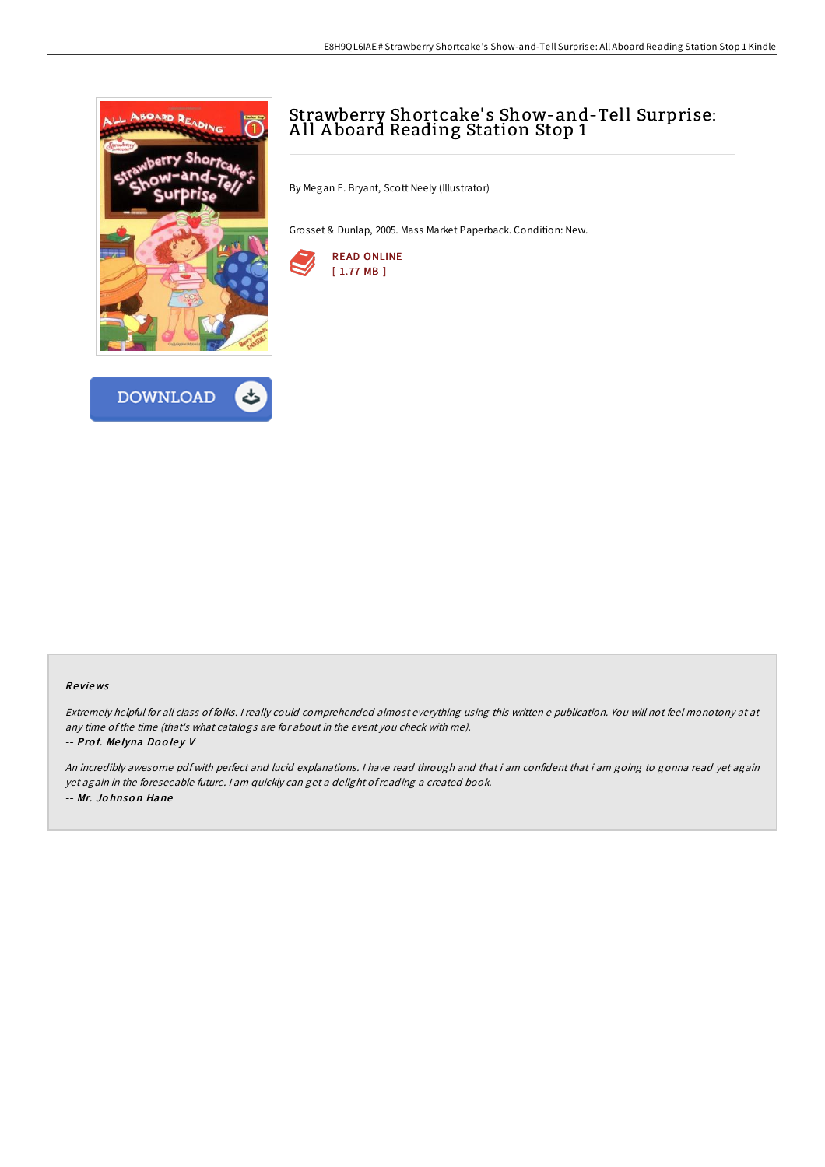



# Strawberry Shortcake' s Show-and-Tell Surprise: A ll A board Reading Station Stop 1

By Megan E. Bryant, Scott Neely (Illustrator)

Grosset & Dunlap, 2005. Mass Market Paperback. Condition: New.



### Re views

Extremely helpful for all class of folks. <sup>I</sup> really could comprehended almost everything using this written <sup>e</sup> publication. You will not feel monotony at at any time ofthe time (that's what catalogs are for about in the event you check with me). -- Prof. Melyna Dooley V

An incredibly awesome pdf with perfect and lucid explanations. <sup>I</sup> have read through and that i am confident that i am going to gonna read yet again yet again in the foreseeable future. <sup>I</sup> am quickly can get <sup>a</sup> delight ofreading <sup>a</sup> created book. -- Mr. Jo hnso <sup>n</sup> Hane